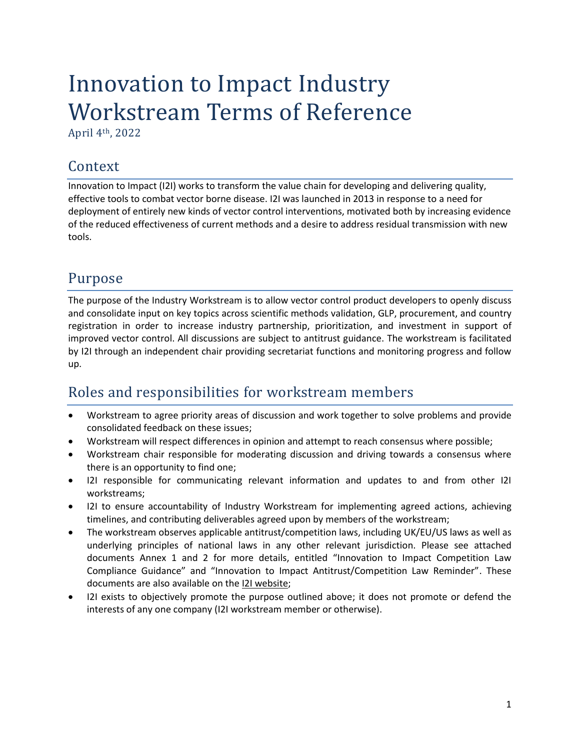# Innovation to Impact Industry Workstream Terms of Reference

April 4th, 2022

### Context

Innovation to Impact (I2I) works to transform the value chain for developing and delivering quality, effective tools to combat vector borne disease. I2I was launched in 2013 in response to a need for deployment of entirely new kinds of vector control interventions, motivated both by increasing evidence of the reduced effectiveness of current methods and a desire to address residual transmission with new tools.

# Purpose

The purpose of the Industry Workstream is to allow vector control product developers to openly discuss and consolidate input on key topics across scientific methods validation, GLP, procurement, and country registration in order to increase industry partnership, prioritization, and investment in support of improved vector control. All discussions are subject to antitrust guidance. The workstream is facilitated by I2I through an independent chair providing secretariat functions and monitoring progress and follow up.

## Roles and responsibilities for workstream members

- Workstream to agree priority areas of discussion and work together to solve problems and provide consolidated feedback on these issues;
- Workstream will respect differences in opinion and attempt to reach consensus where possible;
- Workstream chair responsible for moderating discussion and driving towards a consensus where there is an opportunity to find one;
- I2I responsible for communicating relevant information and updates to and from other I2I workstreams;
- I2I to ensure accountability of Industry Workstream for implementing agreed actions, achieving timelines, and contributing deliverables agreed upon by members of the workstream;
- The workstream observes applicable antitrust/competition laws, including UK/EU/US laws as well as underlying principles of national laws in any other relevant jurisdiction. Please see attached documents Annex 1 and 2 for more details, entitled "Innovation to Impact Competition Law Compliance Guidance" and "Innovation to Impact Antitrust/Competition Law Reminder". These documents are also available on the [I2I website;](https://innovationtoimpact.org/workstreams/industry-engagement/)
- I2I exists to objectively promote the purpose outlined above; it does not promote or defend the interests of any one company (I2I workstream member or otherwise).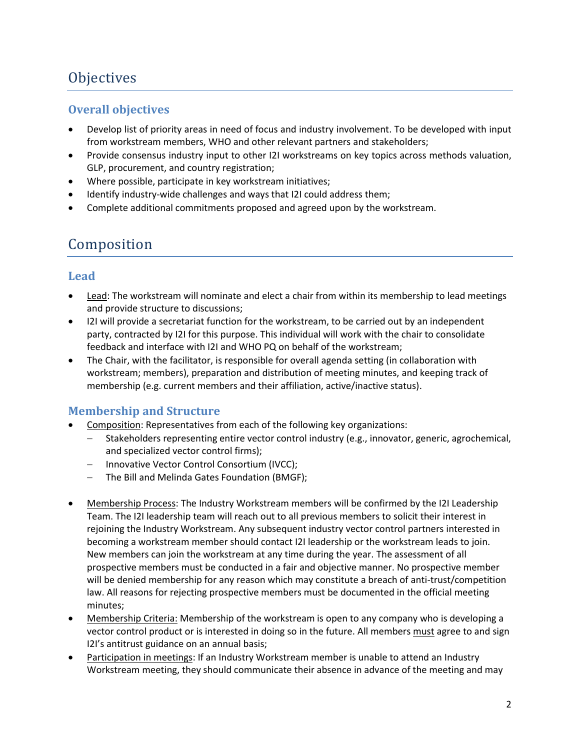# **Objectives**

#### **Overall objectives**

- Develop list of priority areas in need of focus and industry involvement. To be developed with input from workstream members, WHO and other relevant partners and stakeholders;
- Provide consensus industry input to other I2I workstreams on key topics across methods valuation, GLP, procurement, and country registration;
- Where possible, participate in key workstream initiatives;
- Identify industry-wide challenges and ways that I2I could address them;
- Complete additional commitments proposed and agreed upon by the workstream.

### Composition

#### **Lead**

- Lead: The workstream will nominate and elect a chair from within its membership to lead meetings and provide structure to discussions;
- I2I will provide a secretariat function for the workstream, to be carried out by an independent party, contracted by I2I for this purpose. This individual will work with the chair to consolidate feedback and interface with I2I and WHO PQ on behalf of the workstream;
- The Chair, with the facilitator, is responsible for overall agenda setting (in collaboration with workstream; members), preparation and distribution of meeting minutes, and keeping track of membership (e.g. current members and their affiliation, active/inactive status).

#### **Membership and Structure**

- Composition: Representatives from each of the following key organizations:
	- − Stakeholders representing entire vector control industry (e.g., innovator, generic, agrochemical, and specialized vector control firms);
	- − Innovative Vector Control Consortium (IVCC);
	- − The Bill and Melinda Gates Foundation (BMGF);
- Membership Process: The Industry Workstream members will be confirmed by the I2I Leadership Team. The I2I leadership team will reach out to all previous members to solicit their interest in rejoining the Industry Workstream. Any subsequent industry vector control partners interested in becoming a workstream member should contact I2I leadership or the workstream leads to join. New members can join the workstream at any time during the year. The assessment of all prospective members must be conducted in a fair and objective manner. No prospective member will be denied membership for any reason which may constitute a breach of anti-trust/competition law. All reasons for rejecting prospective members must be documented in the official meeting minutes;
- Membership Criteria: Membership of the workstream is open to any company who is developing a vector control product or is interested in doing so in the future. All members must agree to and sign I2I's antitrust guidance on an annual basis;
- Participation in meetings: If an Industry Workstream member is unable to attend an Industry Workstream meeting, they should communicate their absence in advance of the meeting and may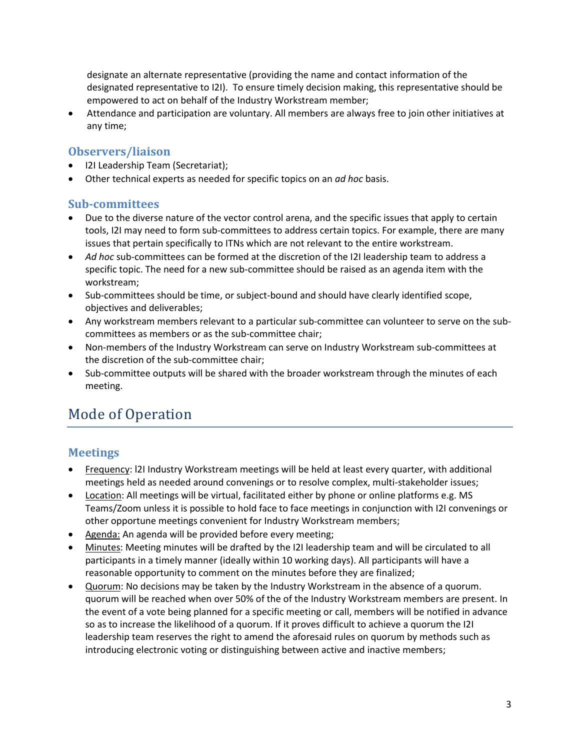designate an alternate representative (providing the name and contact information of the designated representative to I2I). To ensure timely decision making, this representative should be empowered to act on behalf of the Industry Workstream member;

• Attendance and participation are voluntary. All members are always free to join other initiatives at any time;

#### **Observers/liaison**

- I2I Leadership Team (Secretariat);
- Other technical experts as needed for specific topics on an *ad hoc* basis.

#### **Sub-committees**

- Due to the diverse nature of the vector control arena, and the specific issues that apply to certain tools, I2I may need to form sub-committees to address certain topics. For example, there are many issues that pertain specifically to ITNs which are not relevant to the entire workstream.
- *Ad hoc* sub-committees can be formed at the discretion of the I2I leadership team to address a specific topic. The need for a new sub-committee should be raised as an agenda item with the workstream;
- Sub-committees should be time, or subject-bound and should have clearly identified scope, objectives and deliverables;
- Any workstream members relevant to a particular sub-committee can volunteer to serve on the subcommittees as members or as the sub-committee chair;
- Non-members of the Industry Workstream can serve on Industry Workstream sub-committees at the discretion of the sub-committee chair;
- Sub-committee outputs will be shared with the broader workstream through the minutes of each meeting.

## Mode of Operation

#### **Meetings**

- Frequency: l2I Industry Workstream meetings will be held at least every quarter, with additional meetings held as needed around convenings or to resolve complex, multi-stakeholder issues;
- Location: All meetings will be virtual, facilitated either by phone or online platforms e.g. MS Teams/Zoom unless it is possible to hold face to face meetings in conjunction with I2I convenings or other opportune meetings convenient for Industry Workstream members;
- Agenda: An agenda will be provided before every meeting;
- Minutes: Meeting minutes will be drafted by the I2I leadership team and will be circulated to all participants in a timely manner (ideally within 10 working days). All participants will have a reasonable opportunity to comment on the minutes before they are finalized;
- Quorum: No decisions may be taken by the Industry Workstream in the absence of a quorum. quorum will be reached when over 50% of the of the Industry Workstream members are present. In the event of a vote being planned for a specific meeting or call, members will be notified in advance so as to increase the likelihood of a quorum. If it proves difficult to achieve a quorum the I2I leadership team reserves the right to amend the aforesaid rules on quorum by methods such as introducing electronic voting or distinguishing between active and inactive members;